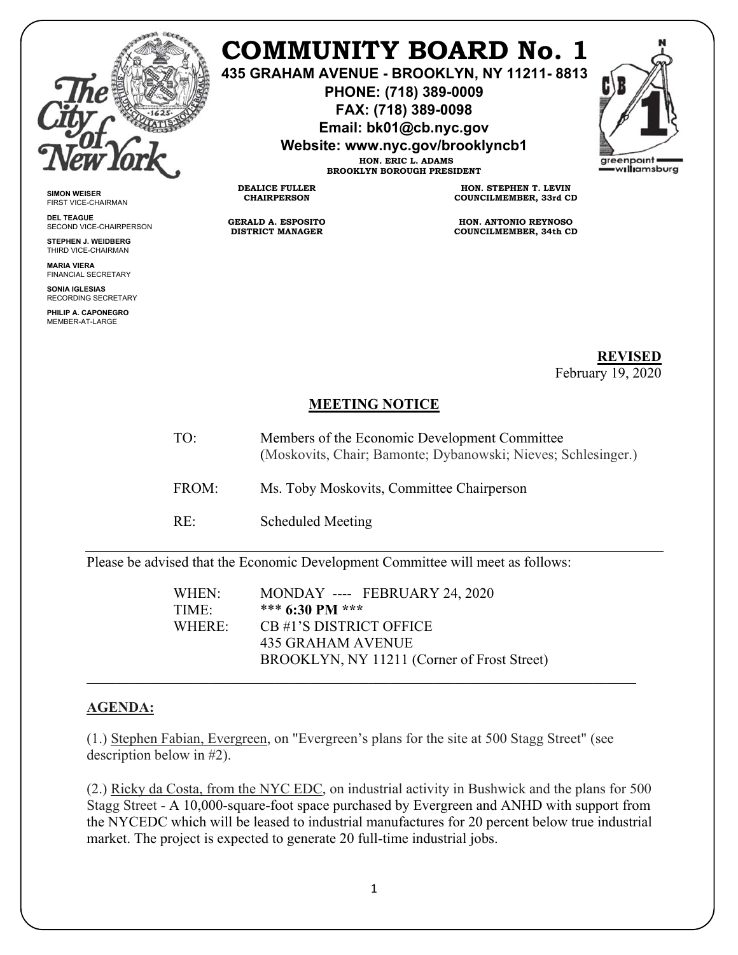

## **COMMUNITY BOARD No. 1**

**435 GRAHAM AVENUE - BROOKLYN, NY 11211- 8813** 

**PHONE: (718) 389-0009 FAX: (718) 389-0098** 

**Email: bk01@cb.nyc.gov** 

**Website: www.nyc.gov/brooklyncb1 HON. ERIC L. ADAMS** 



**SIMON WEISER**  FIRST VICE-CHAIRMAN

**DEL TEAGUE** SECOND VICE-CHAIRPERSON

**STEPHEN J. WEIDBERG**  THIRD VICE-CHAIRMAN **MARIA VIERA**

FINANCIAL SECRETARY **SONIA IGLESIAS**  RECORDING SECRETARY

**PHILIP A. CAPONEGRO**  MEMBER-AT-LARGE

**BROOKLYN BOROUGH PRESIDENT HON. STEPHEN T. LEVIN COUNCILMEMBER, 33rd CD** 

> **HON. ANTONIO REYNOSO COUNCILMEMBER, 34th CD**

> > **REVISED** February 19, 2020

## **MEETING NOTICE**

- TO: Members of the Economic Development Committee (Moskovits, Chair; Bamonte; Dybanowski; Nieves; Schlesinger.)
- FROM: Ms. Toby Moskovits, Committee Chairperson
- RE: Scheduled Meeting

**DEALICE FULLER CHAIRPERSON** 

**GERALD A. ESPOSITO DISTRICT MANAGER** 

Please be advised that the Economic Development Committee will meet as follows:

WHEN: MONDAY ---- FEBRUARY 24, 2020 TIME: \*\*\* **6:30 PM \*\*\***  WHERE: CB #1'S DISTRICT OFFICE 435 GRAHAM AVENUE BROOKLYN, NY 11211 (Corner of Frost Street)

## **AGENDA:**

(1.) Stephen Fabian, Evergreen, on "Evergreen's plans for the site at 500 Stagg Street" (see description below in #2).

(2.) Ricky da Costa, from the NYC EDC, on industrial activity in Bushwick and the plans for 500 Stagg Street - A 10,000-square-foot space purchased by Evergreen and ANHD with support from the NYCEDC which will be leased to industrial manufactures for 20 percent below true industrial market. The project is expected to generate 20 full-time industrial jobs.